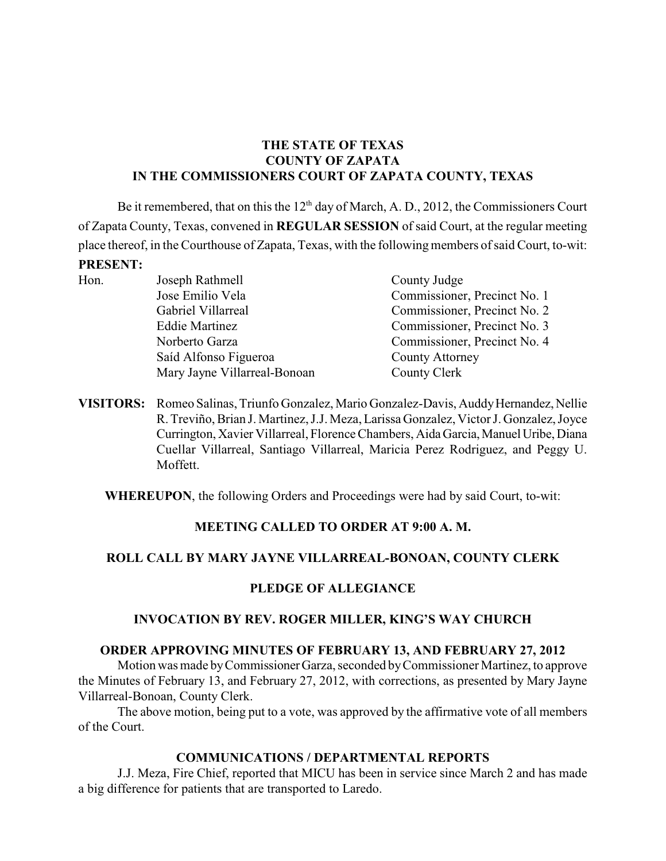## **THE STATE OF TEXAS COUNTY OF ZAPATA IN THE COMMISSIONERS COURT OF ZAPATA COUNTY, TEXAS**

Be it remembered, that on this the  $12<sup>th</sup>$  day of March, A. D., 2012, the Commissioners Court of Zapata County, Texas, convened in **REGULAR SESSION** of said Court, at the regular meeting place thereof, in the Courthouse of Zapata, Texas, with the following members of said Court, to-wit: **PRESENT:**

- Hon. Joseph Rathmell County Judge Jose Emilio Vela Commissioner, Precinct No. 1 Gabriel Villarreal Commissioner, Precinct No. 2 Eddie Martinez Commissioner, Precinct No. 3 Norberto Garza Commissioner, Precinct No. 4 Saíd Alfonso Figueroa County Attorney Mary Jayne Villarreal-Bonoan County Clerk
- **VISITORS:** Romeo Salinas, Triunfo Gonzalez, Mario Gonzalez-Davis, Auddy Hernandez, Nellie R. Treviño, Brian J. Martinez, J.J. Meza, Larissa Gonzalez, Victor J. Gonzalez, Joyce Currington, Xavier Villarreal, Florence Chambers, Aida Garcia, Manuel Uribe, Diana Cuellar Villarreal, Santiago Villarreal, Maricia Perez Rodriguez, and Peggy U. Moffett.

**WHEREUPON**, the following Orders and Proceedings were had by said Court, to-wit:

### **MEETING CALLED TO ORDER AT 9:00 A. M.**

# **ROLL CALL BY MARY JAYNE VILLARREAL-BONOAN, COUNTY CLERK**

# **PLEDGE OF ALLEGIANCE**

# **INVOCATION BY REV. ROGER MILLER, KING'S WAY CHURCH**

### **ORDER APPROVING MINUTES OF FEBRUARY 13, AND FEBRUARY 27, 2012**

Motion was made by Commissioner Garza, seconded by Commissioner Martinez, to approve the Minutes of February 13, and February 27, 2012, with corrections, as presented by Mary Jayne Villarreal-Bonoan, County Clerk.

The above motion, being put to a vote, was approved by the affirmative vote of all members of the Court.

### **COMMUNICATIONS / DEPARTMENTAL REPORTS**

J.J. Meza, Fire Chief, reported that MICU has been in service since March 2 and has made a big difference for patients that are transported to Laredo.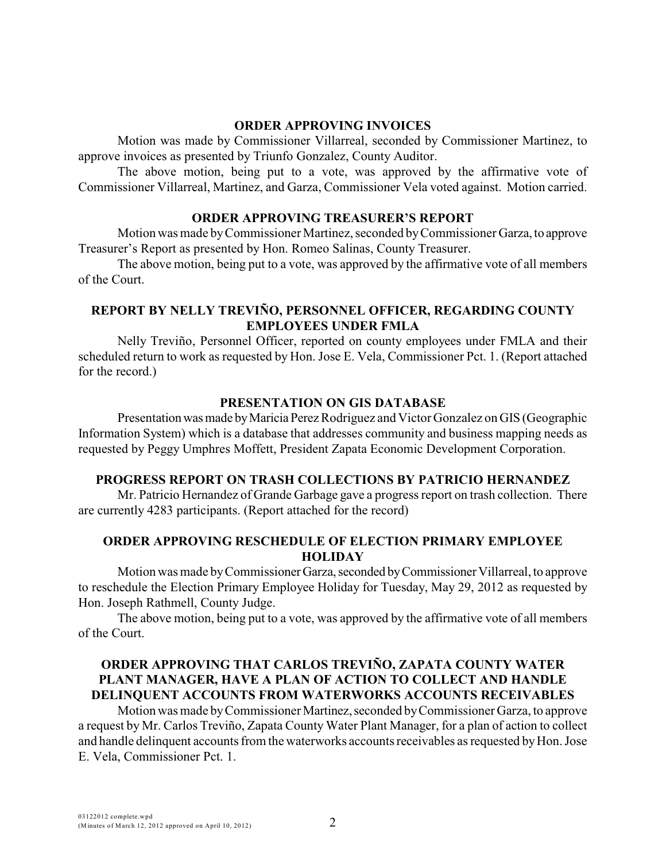#### **ORDER APPROVING INVOICES**

Motion was made by Commissioner Villarreal, seconded by Commissioner Martinez, to approve invoices as presented by Triunfo Gonzalez, County Auditor.

The above motion, being put to a vote, was approved by the affirmative vote of Commissioner Villarreal, Martinez, and Garza, Commissioner Vela voted against. Motion carried.

#### **ORDER APPROVING TREASURER'S REPORT**

Motion was made by Commissioner Martinez, seconded by Commissioner Garza, to approve Treasurer's Report as presented by Hon. Romeo Salinas, County Treasurer.

The above motion, being put to a vote, was approved by the affirmative vote of all members of the Court.

### **REPORT BY NELLY TREVIÑO, PERSONNEL OFFICER, REGARDING COUNTY EMPLOYEES UNDER FMLA**

Nelly Treviño, Personnel Officer, reported on county employees under FMLA and their scheduled return to work as requested by Hon. Jose E. Vela, Commissioner Pct. 1. (Report attached for the record.)

## **PRESENTATION ON GIS DATABASE**

Presentation was made by Maricia Perez Rodriguez and Victor Gonzalez on GIS (Geographic Information System) which is a database that addresses community and business mapping needs as requested by Peggy Umphres Moffett, President Zapata Economic Development Corporation.

### **PROGRESS REPORT ON TRASH COLLECTIONS BY PATRICIO HERNANDEZ**

Mr. Patricio Hernandez of Grande Garbage gave a progress report on trash collection. There are currently 4283 participants. (Report attached for the record)

### **ORDER APPROVING RESCHEDULE OF ELECTION PRIMARY EMPLOYEE HOLIDAY**

Motion was made by Commissioner Garza, seconded by Commissioner Villarreal, to approve to reschedule the Election Primary Employee Holiday for Tuesday, May 29, 2012 as requested by Hon. Joseph Rathmell, County Judge.

The above motion, being put to a vote, was approved by the affirmative vote of all members of the Court.

## **ORDER APPROVING THAT CARLOS TREVIÑO, ZAPATA COUNTY WATER PLANT MANAGER, HAVE A PLAN OF ACTION TO COLLECT AND HANDLE DELINQUENT ACCOUNTS FROM WATERWORKS ACCOUNTS RECEIVABLES**

Motion was made by Commissioner Martinez, seconded by Commissioner Garza, to approve a request by Mr. Carlos Treviño, Zapata County Water Plant Manager, for a plan of action to collect and handle delinquent accounts from the waterworks accounts receivables as requested by Hon. Jose E. Vela, Commissioner Pct. 1.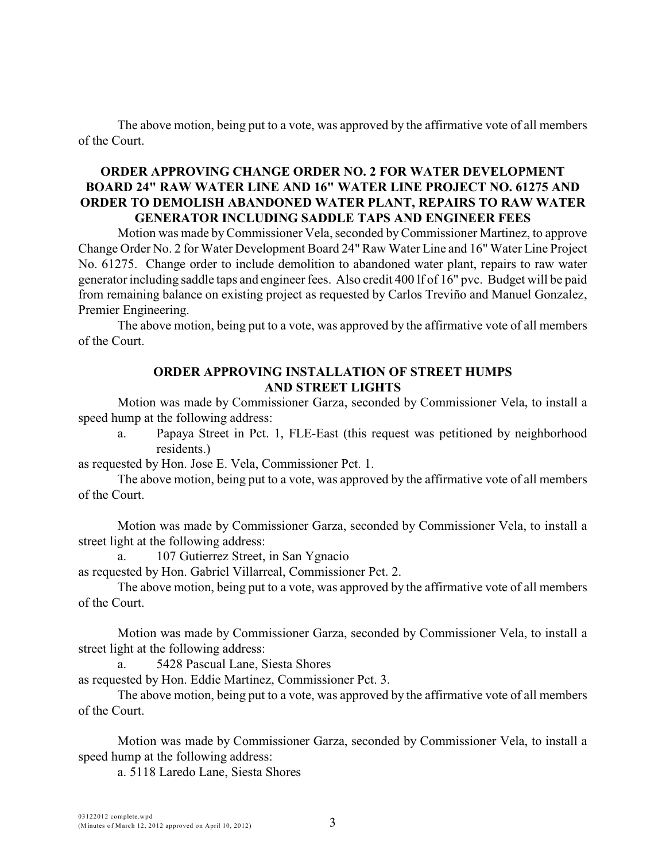The above motion, being put to a vote, was approved by the affirmative vote of all members of the Court.

#### **ORDER APPROVING CHANGE ORDER NO. 2 FOR WATER DEVELOPMENT BOARD 24" RAW WATER LINE AND 16" WATER LINE PROJECT NO. 61275 AND ORDER TO DEMOLISH ABANDONED WATER PLANT, REPAIRS TO RAW WATER GENERATOR INCLUDING SADDLE TAPS AND ENGINEER FEES**

Motion was made byCommissioner Vela, seconded by Commissioner Martinez, to approve Change Order No. 2 for Water Development Board 24" Raw Water Line and 16" Water Line Project No. 61275. Change order to include demolition to abandoned water plant, repairs to raw water generatorincluding saddle taps and engineer fees. Also credit 400 lf of 16" pvc. Budget will be paid from remaining balance on existing project as requested by Carlos Treviño and Manuel Gonzalez, Premier Engineering.

The above motion, being put to a vote, was approved by the affirmative vote of all members of the Court.

#### **ORDER APPROVING INSTALLATION OF STREET HUMPS AND STREET LIGHTS**

Motion was made by Commissioner Garza, seconded by Commissioner Vela, to install a speed hump at the following address:

a. Papaya Street in Pct. 1, FLE-East (this request was petitioned by neighborhood residents.)

as requested by Hon. Jose E. Vela, Commissioner Pct. 1.

The above motion, being put to a vote, was approved by the affirmative vote of all members of the Court.

Motion was made by Commissioner Garza, seconded by Commissioner Vela, to install a street light at the following address:

a. 107 Gutierrez Street, in San Ygnacio

as requested by Hon. Gabriel Villarreal, Commissioner Pct. 2.

The above motion, being put to a vote, was approved by the affirmative vote of all members of the Court.

Motion was made by Commissioner Garza, seconded by Commissioner Vela, to install a street light at the following address:

a. 5428 Pascual Lane, Siesta Shores

as requested by Hon. Eddie Martinez, Commissioner Pct. 3.

The above motion, being put to a vote, was approved by the affirmative vote of all members of the Court.

Motion was made by Commissioner Garza, seconded by Commissioner Vela, to install a speed hump at the following address:

a. 5118 Laredo Lane, Siesta Shores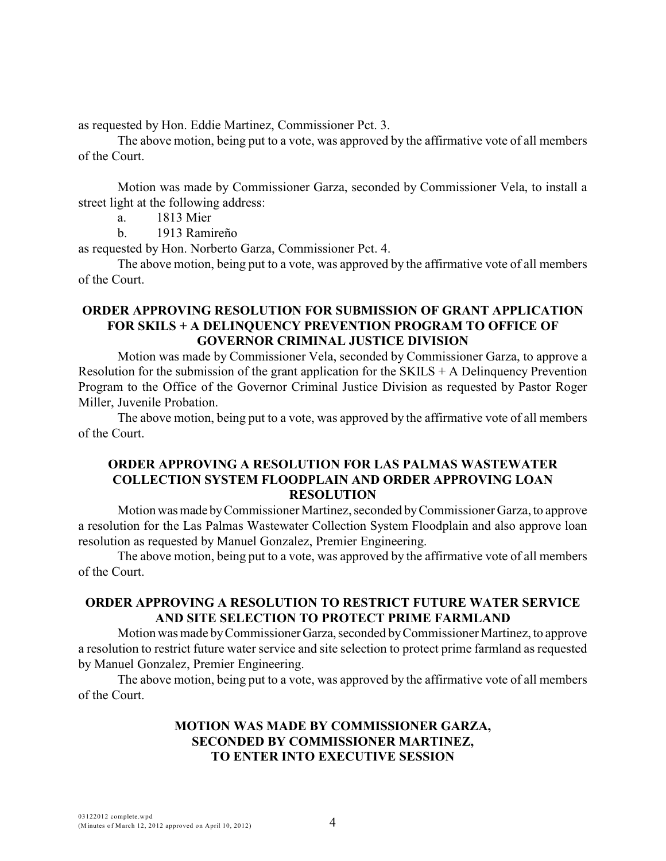as requested by Hon. Eddie Martinez, Commissioner Pct. 3.

The above motion, being put to a vote, was approved by the affirmative vote of all members of the Court.

Motion was made by Commissioner Garza, seconded by Commissioner Vela, to install a street light at the following address:

a. 1813 Mier

b. 1913 Ramireño

as requested by Hon. Norberto Garza, Commissioner Pct. 4.

The above motion, being put to a vote, was approved by the affirmative vote of all members of the Court.

#### **ORDER APPROVING RESOLUTION FOR SUBMISSION OF GRANT APPLICATION FOR SKILS + A DELINQUENCY PREVENTION PROGRAM TO OFFICE OF GOVERNOR CRIMINAL JUSTICE DIVISION**

Motion was made by Commissioner Vela, seconded by Commissioner Garza, to approve a Resolution for the submission of the grant application for the  $SKILS + A$  Delinquency Prevention Program to the Office of the Governor Criminal Justice Division as requested by Pastor Roger Miller, Juvenile Probation.

The above motion, being put to a vote, was approved by the affirmative vote of all members of the Court.

#### **ORDER APPROVING A RESOLUTION FOR LAS PALMAS WASTEWATER COLLECTION SYSTEM FLOODPLAIN AND ORDER APPROVING LOAN RESOLUTION**

Motion was made by Commissioner Martinez, seconded by Commissioner Garza, to approve a resolution for the Las Palmas Wastewater Collection System Floodplain and also approve loan resolution as requested by Manuel Gonzalez, Premier Engineering.

The above motion, being put to a vote, was approved by the affirmative vote of all members of the Court.

### **ORDER APPROVING A RESOLUTION TO RESTRICT FUTURE WATER SERVICE AND SITE SELECTION TO PROTECT PRIME FARMLAND**

Motion was made by Commissioner Garza, seconded by Commissioner Martinez, to approve a resolution to restrict future water service and site selection to protect prime farmland as requested by Manuel Gonzalez, Premier Engineering.

The above motion, being put to a vote, was approved by the affirmative vote of all members of the Court.

### **MOTION WAS MADE BY COMMISSIONER GARZA, SECONDED BY COMMISSIONER MARTINEZ, TO ENTER INTO EXECUTIVE SESSION**